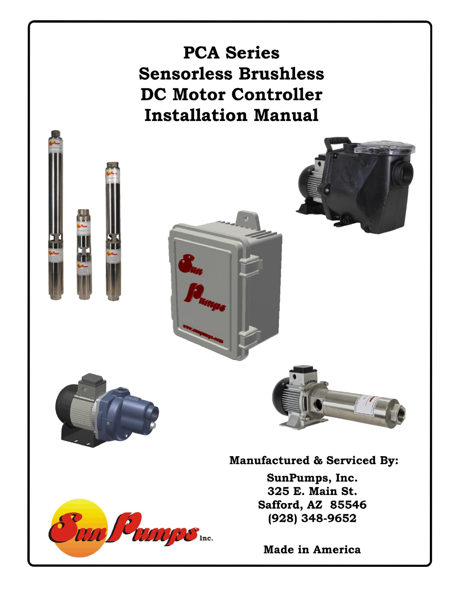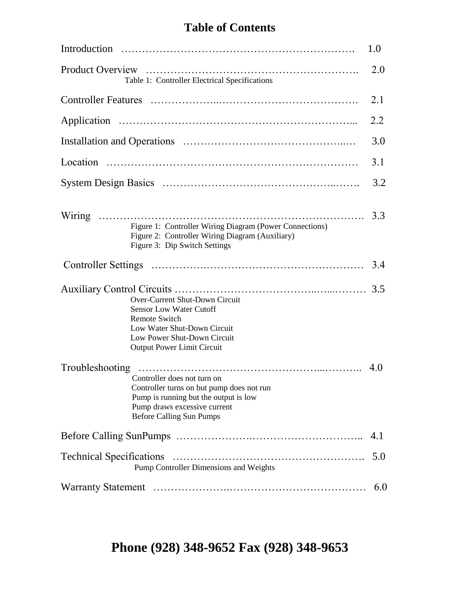# **Table of Contents**

|                                                                                                                                                                                             | 1.0 |
|---------------------------------------------------------------------------------------------------------------------------------------------------------------------------------------------|-----|
| Table 1: Controller Electrical Specifications                                                                                                                                               | 2.0 |
|                                                                                                                                                                                             | 2.1 |
|                                                                                                                                                                                             | 2.2 |
|                                                                                                                                                                                             | 3.0 |
|                                                                                                                                                                                             | 3.1 |
|                                                                                                                                                                                             | 3.2 |
| Figure 1: Controller Wiring Diagram (Power Connections)<br>Figure 2: Controller Wiring Diagram (Auxiliary)<br>Figure 3: Dip Switch Settings                                                 | 3.3 |
|                                                                                                                                                                                             | 3.4 |
| Over-Current Shut-Down Circuit<br><b>Sensor Low Water Cutoff</b><br><b>Remote Switch</b><br>Low Water Shut-Down Circuit<br>Low Power Shut-Down Circuit<br><b>Output Power Limit Circuit</b> | 3.5 |
| Controller does not turn on<br>Controller turns on but pump does not run<br>Pump is running but the output is low<br>Pump draws excessive current<br><b>Before Calling Sun Pumps</b>        |     |
|                                                                                                                                                                                             | 4.1 |
| Pump Controller Dimensions and Weights                                                                                                                                                      | 5.0 |
|                                                                                                                                                                                             | 6.0 |

**Phone (928) 348-9652 Fax (928) 348-9653**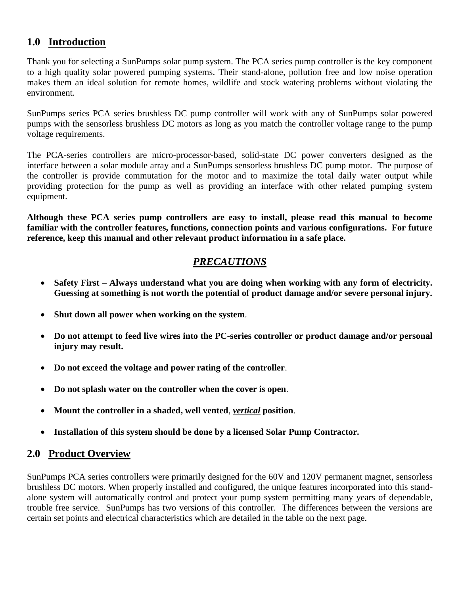## **1.0 Introduction**

Thank you for selecting a SunPumps solar pump system. The PCA series pump controller is the key component to a high quality solar powered pumping systems. Their stand-alone, pollution free and low noise operation makes them an ideal solution for remote homes, wildlife and stock watering problems without violating the environment.

SunPumps series PCA series brushless DC pump controller will work with any of SunPumps solar powered pumps with the sensorless brushless DC motors as long as you match the controller voltage range to the pump voltage requirements.

The PCA-series controllers are micro-processor-based, solid-state DC power converters designed as the interface between a solar module array and a SunPumps sensorless brushless DC pump motor. The purpose of the controller is provide commutation for the motor and to maximize the total daily water output while providing protection for the pump as well as providing an interface with other related pumping system equipment.

**Although these PCA series pump controllers are easy to install, please read this manual to become familiar with the controller features, functions, connection points and various configurations. For future reference, keep this manual and other relevant product information in a safe place.**

# *PRECAUTIONS*

- **Safety First Always understand what you are doing when working with any form of electricity. Guessing at something is not worth the potential of product damage and/or severe personal injury.**
- **Shut down all power when working on the system**.
- **Do not attempt to feed live wires into the PC-series controller or product damage and/or personal injury may result.**
- **Do not exceed the voltage and power rating of the controller**.
- **Do not splash water on the controller when the cover is open**.
- **Mount the controller in a shaded, well vented**, *vertical* **position**.
- **Installation of this system should be done by a licensed Solar Pump Contractor.**

## **2.0 Product Overview**

SunPumps PCA series controllers were primarily designed for the 60V and 120V permanent magnet, sensorless brushless DC motors. When properly installed and configured, the unique features incorporated into this standalone system will automatically control and protect your pump system permitting many years of dependable, trouble free service. SunPumps has two versions of this controller. The differences between the versions are certain set points and electrical characteristics which are detailed in the table on the next page.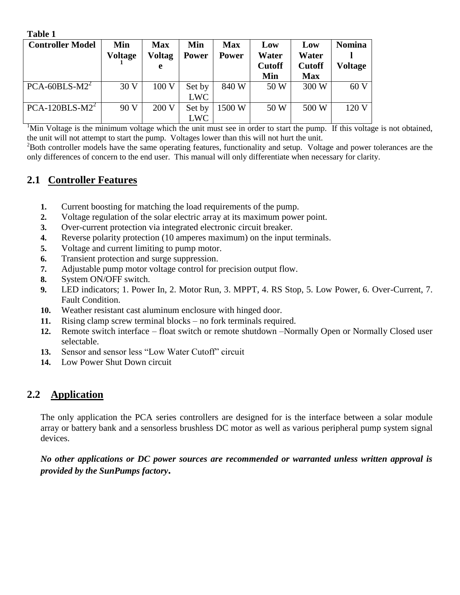| таніс т                 |                |               |              |              |               |               |               |
|-------------------------|----------------|---------------|--------------|--------------|---------------|---------------|---------------|
| <b>Controller Model</b> | Min            | <b>Max</b>    | Min          | <b>Max</b>   | Low           | Low           | <b>Nomina</b> |
|                         | <b>Voltage</b> | <b>Voltag</b> | <b>Power</b> | <b>Power</b> | Water         | Water         |               |
|                         |                | e             |              |              | <b>Cutoff</b> | <b>Cutoff</b> | Voltage       |
|                         |                |               |              |              | Min           | <b>Max</b>    |               |
| $PCA-60BLS-M22$         | 30 V           | 100 V         | Set by       | 840 W        | 50 W          | 300 W         | 60V           |
|                         |                |               | <b>LWC</b>   |              |               |               |               |
| $PCA-120BLS-M22$        | 90 V           | 200 V         | Set by       | 1500 W       | 50 W          | 500 W         | 120 V         |
|                         |                |               | <b>LWC</b>   |              |               |               |               |

 $1$ Min Voltage is the minimum voltage which the unit must see in order to start the pump. If this voltage is not obtained, the unit will not attempt to start the pump. Voltages lower than this will not hurt the unit.

 $2$ Both controller models have the same operating features, functionality and setup. Voltage and power tolerances are the only differences of concern to the end user. This manual will only differentiate when necessary for clarity.

## **2.1 Controller Features**

**Table 1**

- **1.** Current boosting for matching the load requirements of the pump.
- **2.** Voltage regulation of the solar electric array at its maximum power point.
- **3.** Over-current protection via integrated electronic circuit breaker.
- **4.** Reverse polarity protection (10 amperes maximum) on the input terminals.
- **5.** Voltage and current limiting to pump motor.
- **6.** Transient protection and surge suppression.
- **7.** Adjustable pump motor voltage control for precision output flow.
- **8.** System ON/OFF switch.
- **9.** LED indicators; 1. Power In, 2. Motor Run, 3. MPPT, 4. RS Stop, 5. Low Power, 6. Over-Current, 7. Fault Condition.
- **10.** Weather resistant cast aluminum enclosure with hinged door.
- **11.** Rising clamp screw terminal blocks no fork terminals required.
- **12.** Remote switch interface float switch or remote shutdown –Normally Open or Normally Closed user selectable.
- **13.** Sensor and sensor less "Low Water Cutoff" circuit
- **14.** Low Power Shut Down circuit

## **2.2 Application**

The only application the PCA series controllers are designed for is the interface between a solar module array or battery bank and a sensorless brushless DC motor as well as various peripheral pump system signal devices.

*No other applications or DC power sources are recommended or warranted unless written approval is provided by the SunPumps factory***.**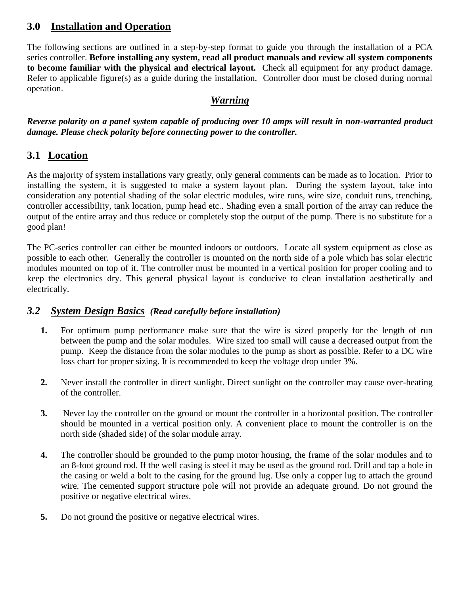# **3.0 Installation and Operation**

The following sections are outlined in a step-by-step format to guide you through the installation of a PCA series controller. **Before installing any system, read all product manuals and review all system components to become familiar with the physical and electrical layout.** Check all equipment for any product damage. Refer to applicable figure(s) as a guide during the installation. Controller door must be closed during normal operation.

## *Warning*

*Reverse polarity on a panel system capable of producing over 10 amps will result in non-warranted product damage. Please check polarity before connecting power to the controller.*

## **3.1 Location**

As the majority of system installations vary greatly, only general comments can be made as to location. Prior to installing the system, it is suggested to make a system layout plan. During the system layout, take into consideration any potential shading of the solar electric modules, wire runs, wire size, conduit runs, trenching, controller accessibility, tank location, pump head etc.. Shading even a small portion of the array can reduce the output of the entire array and thus reduce or completely stop the output of the pump. There is no substitute for a good plan!

The PC-series controller can either be mounted indoors or outdoors. Locate all system equipment as close as possible to each other. Generally the controller is mounted on the north side of a pole which has solar electric modules mounted on top of it. The controller must be mounted in a vertical position for proper cooling and to keep the electronics dry. This general physical layout is conducive to clean installation aesthetically and electrically.

## *3.2 System Design Basics (Read carefully before installation)*

- **1.** For optimum pump performance make sure that the wire is sized properly for the length of run between the pump and the solar modules. Wire sized too small will cause a decreased output from the pump. Keep the distance from the solar modules to the pump as short as possible. Refer to a DC wire loss chart for proper sizing. It is recommended to keep the voltage drop under 3%.
- **2.** Never install the controller in direct sunlight. Direct sunlight on the controller may cause over-heating of the controller.
- **3.** Never lay the controller on the ground or mount the controller in a horizontal position. The controller should be mounted in a vertical position only. A convenient place to mount the controller is on the north side (shaded side) of the solar module array.
- **4.** The controller should be grounded to the pump motor housing, the frame of the solar modules and to an 8-foot ground rod. If the well casing is steel it may be used as the ground rod. Drill and tap a hole in the casing or weld a bolt to the casing for the ground lug. Use only a copper lug to attach the ground wire. The cemented support structure pole will not provide an adequate ground. Do not ground the positive or negative electrical wires.
- **5.** Do not ground the positive or negative electrical wires.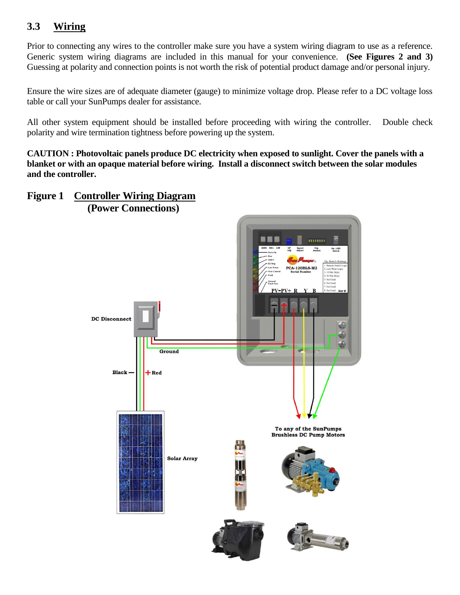# **3.3 Wiring**

Prior to connecting any wires to the controller make sure you have a system wiring diagram to use as a reference. Generic system wiring diagrams are included in this manual for your convenience. **(See Figures 2 and 3)** Guessing at polarity and connection points is not worth the risk of potential product damage and/or personal injury.

Ensure the wire sizes are of adequate diameter (gauge) to minimize voltage drop. Please refer to a DC voltage loss table or call your SunPumps dealer for assistance.

All other system equipment should be installed before proceeding with wiring the controller. Double check polarity and wire termination tightness before powering up the system.

**CAUTION : Photovoltaic panels produce DC electricity when exposed to sunlight. Cover the panels with a blanket or with an opaque material before wiring. Install a disconnect switch between the solar modules and the controller.**

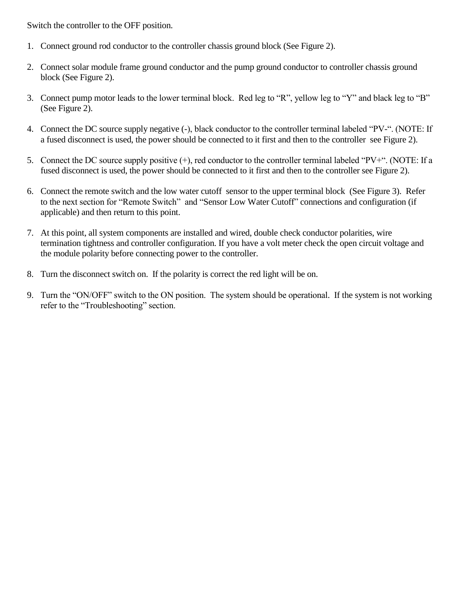Switch the controller to the OFF position.

- 1. Connect ground rod conductor to the controller chassis ground block (See Figure 2).
- 2. Connect solar module frame ground conductor and the pump ground conductor to controller chassis ground block (See Figure 2).
- 3. Connect pump motor leads to the lower terminal block. Red leg to "R", yellow leg to "Y" and black leg to "B" (See Figure 2).
- 4. Connect the DC source supply negative (-), black conductor to the controller terminal labeled "PV-". (NOTE: If a fused disconnect is used, the power should be connected to it first and then to the controller see Figure 2).
- 5. Connect the DC source supply positive  $(+)$ , red conductor to the controller terminal labeled "PV+". (NOTE: If a fused disconnect is used, the power should be connected to it first and then to the controller see Figure 2).
- 6. Connect the remote switch and the low water cutoff sensor to the upper terminal block (See Figure 3). Refer to the next section for "Remote Switch" and "Sensor Low Water Cutoff" connections and configuration (if applicable) and then return to this point.
- 7. At this point, all system components are installed and wired, double check conductor polarities, wire termination tightness and controller configuration. If you have a volt meter check the open circuit voltage and the module polarity before connecting power to the controller.
- 8. Turn the disconnect switch on. If the polarity is correct the red light will be on.
- 9. Turn the "ON/OFF" switch to the ON position. The system should be operational. If the system is not working refer to the "Troubleshooting" section.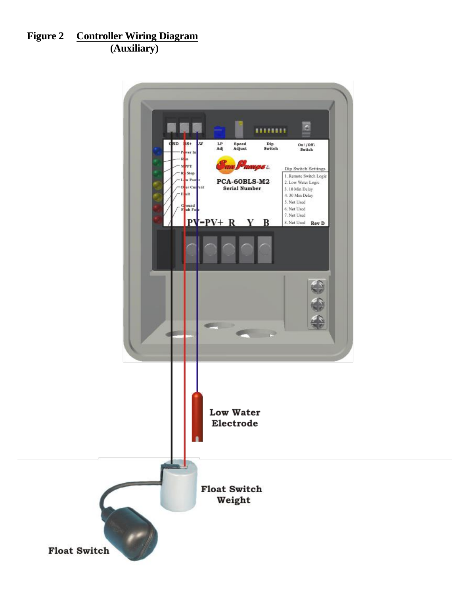# **Figure 2 Controller Wiring Diagram (Auxiliary)**

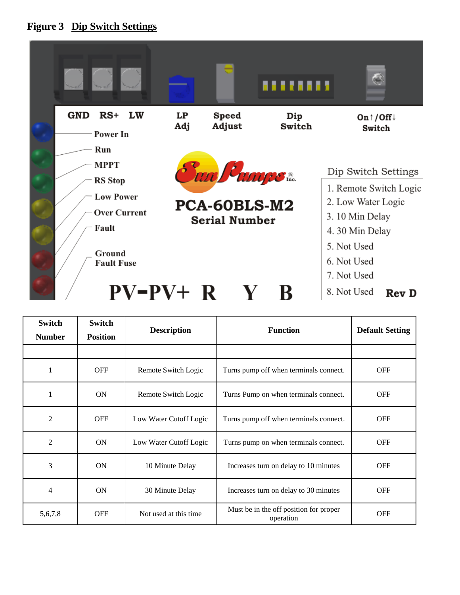



| <b>Switch</b><br><b>Number</b> | <b>Switch</b><br><b>Position</b> | <b>Description</b>     | <b>Function</b>                                     |            |  |
|--------------------------------|----------------------------------|------------------------|-----------------------------------------------------|------------|--|
|                                |                                  |                        |                                                     |            |  |
| 1                              | <b>OFF</b>                       | Remote Switch Logic    | Turns pump off when terminals connect.              |            |  |
| 1                              | <b>ON</b>                        | Remote Switch Logic    | Turns Pump on when terminals connect.               | <b>OFF</b> |  |
| $\overline{2}$                 | <b>OFF</b>                       | Low Water Cutoff Logic | Turns pump off when terminals connect.              | <b>OFF</b> |  |
| $\overline{2}$                 | ON                               | Low Water Cutoff Logic | Turns pump on when terminals connect.               | <b>OFF</b> |  |
| 3                              | ON                               | 10 Minute Delay        | Increases turn on delay to 10 minutes               | <b>OFF</b> |  |
| 4                              | <b>ON</b>                        | 30 Minute Delay        | Increases turn on delay to 30 minutes               |            |  |
| 5,6,7,8                        | <b>OFF</b>                       | Not used at this time. | Must be in the off position for proper<br>operation | <b>OFF</b> |  |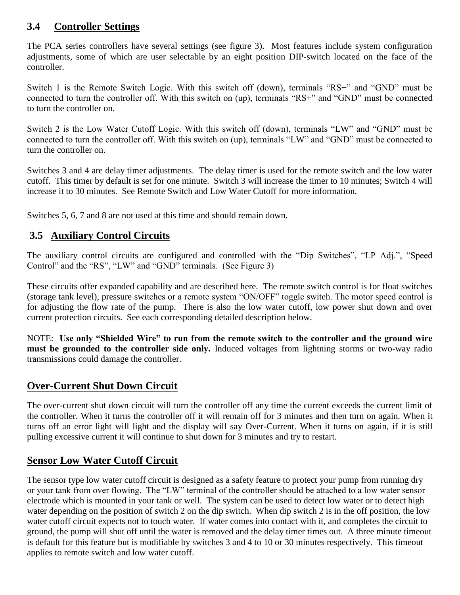# **3.4 Controller Settings**

The PCA series controllers have several settings (see figure 3). Most features include system configuration adjustments, some of which are user selectable by an eight position DIP-switch located on the face of the controller.

Switch 1 is the Remote Switch Logic. With this switch off (down), terminals "RS+" and "GND" must be connected to turn the controller off. With this switch on (up), terminals "RS+" and "GND" must be connected to turn the controller on.

Switch 2 is the Low Water Cutoff Logic. With this switch off (down), terminals "LW" and "GND" must be connected to turn the controller off. With this switch on (up), terminals "LW" and "GND" must be connected to turn the controller on.

Switches 3 and 4 are delay timer adjustments. The delay timer is used for the remote switch and the low water cutoff. This timer by default is set for one minute. Switch 3 will increase the timer to 10 minutes; Switch 4 will increase it to 30 minutes. See Remote Switch and Low Water Cutoff for more information.

Switches 5, 6, 7 and 8 are not used at this time and should remain down.

# **3.5 Auxiliary Control Circuits**

The auxiliary control circuits are configured and controlled with the "Dip Switches", "LP Adj.", "Speed Control" and the "RS", "LW" and "GND" terminals. (See Figure 3)

These circuits offer expanded capability and are described here. The remote switch control is for float switches (storage tank level), pressure switches or a remote system "ON/OFF" toggle switch. The motor speed control is for adjusting the flow rate of the pump. There is also the low water cutoff, low power shut down and over current protection circuits. See each corresponding detailed description below.

NOTE: **Use only "Shielded Wire" to run from the remote switch to the controller and the ground wire must be grounded to the controller side only.** Induced voltages from lightning storms or two-way radio transmissions could damage the controller.

# **Over-Current Shut Down Circuit**

The over-current shut down circuit will turn the controller off any time the current exceeds the current limit of the controller. When it turns the controller off it will remain off for 3 minutes and then turn on again. When it turns off an error light will light and the display will say Over-Current. When it turns on again, if it is still pulling excessive current it will continue to shut down for 3 minutes and try to restart.

# **Sensor Low Water Cutoff Circuit**

The sensor type low water cutoff circuit is designed as a safety feature to protect your pump from running dry or your tank from over flowing. The "LW" terminal of the controller should be attached to a low water sensor electrode which is mounted in your tank or well. The system can be used to detect low water or to detect high water depending on the position of switch 2 on the dip switch. When dip switch 2 is in the off position, the low water cutoff circuit expects not to touch water. If water comes into contact with it, and completes the circuit to ground, the pump will shut off until the water is removed and the delay timer times out. A three minute timeout is default for this feature but is modifiable by switches 3 and 4 to 10 or 30 minutes respectively. This timeout applies to remote switch and low water cutoff.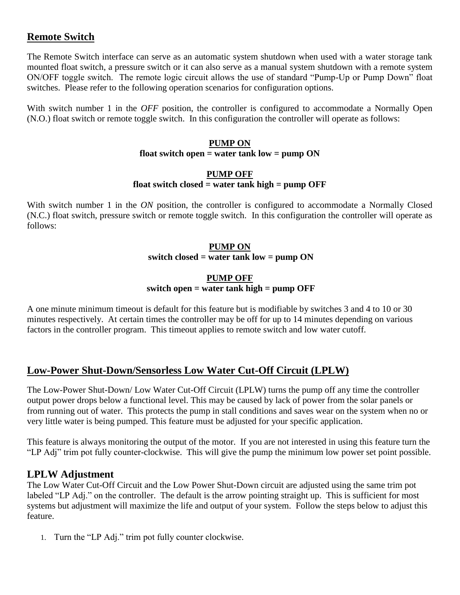## **Remote Switch**

The Remote Switch interface can serve as an automatic system shutdown when used with a water storage tank mounted float switch, a pressure switch or it can also serve as a manual system shutdown with a remote system ON/OFF toggle switch. The remote logic circuit allows the use of standard "Pump-Up or Pump Down" float switches. Please refer to the following operation scenarios for configuration options.

With switch number 1 in the *OFF* position, the controller is configured to accommodate a Normally Open (N.O.) float switch or remote toggle switch. In this configuration the controller will operate as follows:

#### **PUMP ON float switch open = water tank low = pump ON**

#### **PUMP OFF float switch closed = water tank high = pump OFF**

With switch number 1 in the *ON* position, the controller is configured to accommodate a Normally Closed (N.C.) float switch, pressure switch or remote toggle switch. In this configuration the controller will operate as follows:

#### **PUMP ON switch closed = water tank low = pump ON**

#### **PUMP OFF switch open = water tank high = pump OFF**

A one minute minimum timeout is default for this feature but is modifiable by switches 3 and 4 to 10 or 30 minutes respectively. At certain times the controller may be off for up to 14 minutes depending on various factors in the controller program. This timeout applies to remote switch and low water cutoff.

# **Low-Power Shut-Down/Sensorless Low Water Cut-Off Circuit (LPLW)**

The Low-Power Shut-Down/ Low Water Cut-Off Circuit (LPLW) turns the pump off any time the controller output power drops below a functional level. This may be caused by lack of power from the solar panels or from running out of water. This protects the pump in stall conditions and saves wear on the system when no or very little water is being pumped. This feature must be adjusted for your specific application.

This feature is always monitoring the output of the motor. If you are not interested in using this feature turn the "LP Adj" trim pot fully counter-clockwise. This will give the pump the minimum low power set point possible.

## **LPLW Adjustment**

The Low Water Cut-Off Circuit and the Low Power Shut-Down circuit are adjusted using the same trim pot labeled "LP Adj." on the controller. The default is the arrow pointing straight up. This is sufficient for most systems but adjustment will maximize the life and output of your system. Follow the steps below to adjust this feature.

1. Turn the "LP Adj." trim pot fully counter clockwise.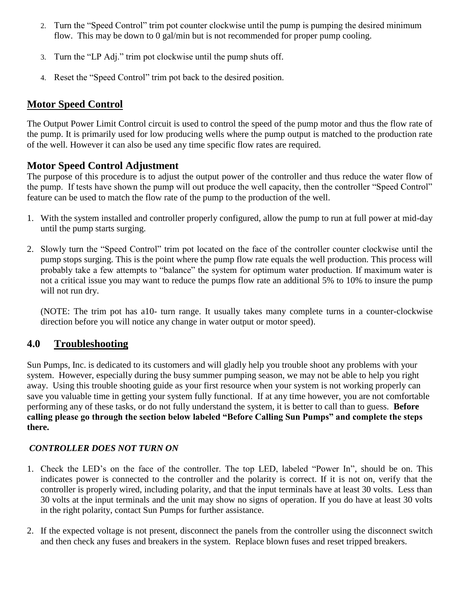- 2. Turn the "Speed Control" trim pot counter clockwise until the pump is pumping the desired minimum flow. This may be down to 0 gal/min but is not recommended for proper pump cooling.
- 3. Turn the "LP Adj." trim pot clockwise until the pump shuts off.
- 4. Reset the "Speed Control" trim pot back to the desired position.

# **Motor Speed Control**

The Output Power Limit Control circuit is used to control the speed of the pump motor and thus the flow rate of the pump. It is primarily used for low producing wells where the pump output is matched to the production rate of the well. However it can also be used any time specific flow rates are required.

# **Motor Speed Control Adjustment**

The purpose of this procedure is to adjust the output power of the controller and thus reduce the water flow of the pump. If tests have shown the pump will out produce the well capacity, then the controller "Speed Control" feature can be used to match the flow rate of the pump to the production of the well.

- 1. With the system installed and controller properly configured, allow the pump to run at full power at mid-day until the pump starts surging.
- 2. Slowly turn the "Speed Control" trim pot located on the face of the controller counter clockwise until the pump stops surging. This is the point where the pump flow rate equals the well production. This process will probably take a few attempts to "balance" the system for optimum water production. If maximum water is not a critical issue you may want to reduce the pumps flow rate an additional 5% to 10% to insure the pump will not run dry.

(NOTE: The trim pot has a10- turn range. It usually takes many complete turns in a counter-clockwise direction before you will notice any change in water output or motor speed).

# **4.0 Troubleshooting**

Sun Pumps, Inc. is dedicated to its customers and will gladly help you trouble shoot any problems with your system. However, especially during the busy summer pumping season, we may not be able to help you right away. Using this trouble shooting guide as your first resource when your system is not working properly can save you valuable time in getting your system fully functional. If at any time however, you are not comfortable performing any of these tasks, or do not fully understand the system, it is better to call than to guess. **Before calling please go through the section below labeled "Before Calling Sun Pumps" and complete the steps there.**

## *CONTROLLER DOES NOT TURN ON*

- 1. Check the LED's on the face of the controller. The top LED, labeled "Power In", should be on. This indicates power is connected to the controller and the polarity is correct. If it is not on, verify that the controller is properly wired, including polarity, and that the input terminals have at least 30 volts. Less than 30 volts at the input terminals and the unit may show no signs of operation. If you do have at least 30 volts in the right polarity, contact Sun Pumps for further assistance.
- 2. If the expected voltage is not present, disconnect the panels from the controller using the disconnect switch and then check any fuses and breakers in the system. Replace blown fuses and reset tripped breakers.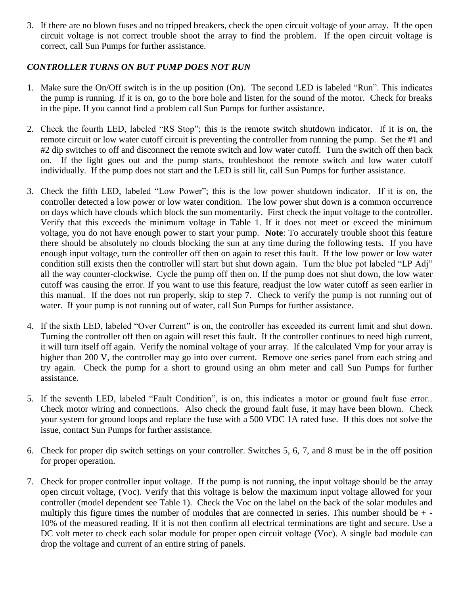3. If there are no blown fuses and no tripped breakers, check the open circuit voltage of your array. If the open circuit voltage is not correct trouble shoot the array to find the problem. If the open circuit voltage is correct, call Sun Pumps for further assistance.

#### *CONTROLLER TURNS ON BUT PUMP DOES NOT RUN*

- 1. Make sure the On/Off switch is in the up position (On). The second LED is labeled "Run". This indicates the pump is running. If it is on, go to the bore hole and listen for the sound of the motor. Check for breaks in the pipe. If you cannot find a problem call Sun Pumps for further assistance.
- 2. Check the fourth LED, labeled "RS Stop"; this is the remote switch shutdown indicator. If it is on, the remote circuit or low water cutoff circuit is preventing the controller from running the pump. Set the #1 and #2 dip switches to off and disconnect the remote switch and low water cutoff. Turn the switch off then back on. If the light goes out and the pump starts, troubleshoot the remote switch and low water cutoff individually. If the pump does not start and the LED is still lit, call Sun Pumps for further assistance.
- 3. Check the fifth LED, labeled "Low Power"; this is the low power shutdown indicator. If it is on, the controller detected a low power or low water condition. The low power shut down is a common occurrence on days which have clouds which block the sun momentarily. First check the input voltage to the controller. Verify that this exceeds the minimum voltage in Table 1. If it does not meet or exceed the minimum voltage, you do not have enough power to start your pump. **Note**: To accurately trouble shoot this feature there should be absolutely no clouds blocking the sun at any time during the following tests. If you have enough input voltage, turn the controller off then on again to reset this fault. If the low power or low water condition still exists then the controller will start but shut down again. Turn the blue pot labeled "LP Adj" all the way counter-clockwise. Cycle the pump off then on. If the pump does not shut down, the low water cutoff was causing the error. If you want to use this feature, readjust the low water cutoff as seen earlier in this manual. If the does not run properly, skip to step 7. Check to verify the pump is not running out of water. If your pump is not running out of water, call Sun Pumps for further assistance.
- 4. If the sixth LED, labeled "Over Current" is on, the controller has exceeded its current limit and shut down. Turning the controller off then on again will reset this fault. If the controller continues to need high current, it will turn itself off again. Verify the nominal voltage of your array. If the calculated Vmp for your array is higher than 200 V, the controller may go into over current. Remove one series panel from each string and try again. Check the pump for a short to ground using an ohm meter and call Sun Pumps for further assistance.
- 5. If the seventh LED, labeled "Fault Condition", is on, this indicates a motor or ground fault fuse error.. Check motor wiring and connections. Also check the ground fault fuse, it may have been blown. Check your system for ground loops and replace the fuse with a 500 VDC 1A rated fuse. If this does not solve the issue, contact Sun Pumps for further assistance.
- 6. Check for proper dip switch settings on your controller. Switches 5, 6, 7, and 8 must be in the off position for proper operation.
- 7. Check for proper controller input voltage. If the pump is not running, the input voltage should be the array open circuit voltage, (Voc). Verify that this voltage is below the maximum input voltage allowed for your controller (model dependent see Table 1). Check the Voc on the label on the back of the solar modules and multiply this figure times the number of modules that are connected in series. This number should be  $+$ . 10% of the measured reading. If it is not then confirm all electrical terminations are tight and secure. Use a DC volt meter to check each solar module for proper open circuit voltage (Voc). A single bad module can drop the voltage and current of an entire string of panels.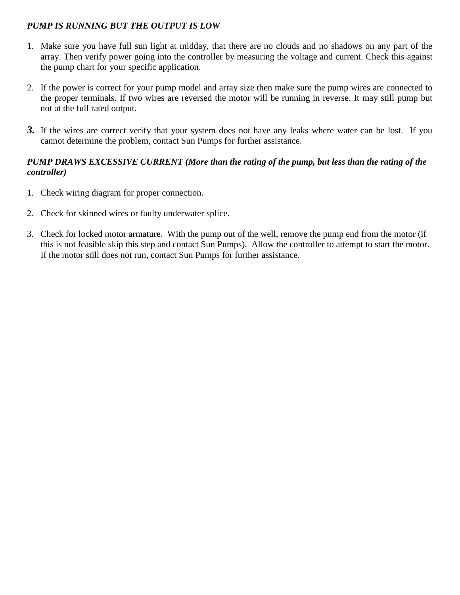#### *PUMP IS RUNNING BUT THE OUTPUT IS LOW*

- 1. Make sure you have full sun light at midday, that there are no clouds and no shadows on any part of the array. Then verify power going into the controller by measuring the voltage and current. Check this against the pump chart for your specific application.
- 2. If the power is correct for your pump model and array size then make sure the pump wires are connected to the proper terminals. If two wires are reversed the motor will be running in reverse. It may still pump but not at the full rated output.
- *3.* If the wires are correct verify that your system does not have any leaks where water can be lost. If you cannot determine the problem, contact Sun Pumps for further assistance.

#### *PUMP DRAWS EXCESSIVE CURRENT (More than the rating of the pump, but less than the rating of the controller)*

- 1. Check wiring diagram for proper connection.
- 2. Check for skinned wires or faulty underwater splice.
- 3. Check for locked motor armature. With the pump out of the well, remove the pump end from the motor (if this is not feasible skip this step and contact Sun Pumps). Allow the controller to attempt to start the motor. If the motor still does not run, contact Sun Pumps for further assistance.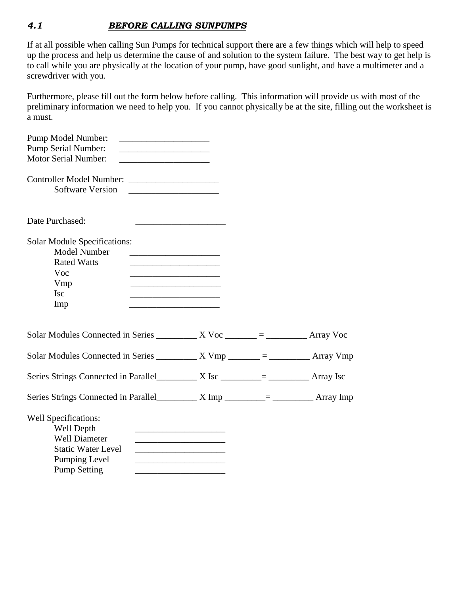#### *4.1 BEFORE CALLING SUNPUMPS*

If at all possible when calling Sun Pumps for technical support there are a few things which will help to speed up the process and help us determine the cause of and solution to the system failure. The best way to get help is to call while you are physically at the location of your pump, have good sunlight, and have a multimeter and a screwdriver with you.

Furthermore, please fill out the form below before calling. This information will provide us with most of the preliminary information we need to help you. If you cannot physically be at the site, filling out the worksheet is a must.

| Pump Model Number:                                                                         |                                                                                                                       |  |
|--------------------------------------------------------------------------------------------|-----------------------------------------------------------------------------------------------------------------------|--|
| <b>Pump Serial Number:</b>                                                                 |                                                                                                                       |  |
| <b>Motor Serial Number:</b><br><u> 1999 - Johann Barbara, martin amerikan basal da</u>     |                                                                                                                       |  |
|                                                                                            |                                                                                                                       |  |
| <b>Software Version</b>                                                                    |                                                                                                                       |  |
| Date Purchased:                                                                            |                                                                                                                       |  |
| <b>Solar Module Specifications:</b>                                                        |                                                                                                                       |  |
| Model Number<br><b>Rated Watts</b>                                                         | <u> 1990 - Johann Barbara, martin amerikan basar dan berasal dalam basar dalam basar dalam basar dalam basar dala</u> |  |
| Voc                                                                                        |                                                                                                                       |  |
| Vmp                                                                                        | <u> 1989 - Johann John Stone, mars and de Brasilian (b. 1989)</u>                                                     |  |
| <b>Isc</b>                                                                                 |                                                                                                                       |  |
| Imp                                                                                        |                                                                                                                       |  |
| Solar Modules Connected in Series $\_\_\_\_\_$ X Voc $\_\_\_\_\_\_ = \_\_\_\_\_$ Array Voc |                                                                                                                       |  |
| Solar Modules Connected in Series $\_\_\_\_$ X Vmp $\_\_\_\_\_ = \_\_\_\_$ Array Vmp       |                                                                                                                       |  |
|                                                                                            |                                                                                                                       |  |
|                                                                                            |                                                                                                                       |  |
| <b>Well Specifications:</b>                                                                |                                                                                                                       |  |
| Well Depth                                                                                 | the control of the control of the control of the control of the control of                                            |  |
| <b>Well Diameter</b>                                                                       |                                                                                                                       |  |
| <b>Static Water Level</b>                                                                  | <u> 1989 - Johann Barbara, martin amerikan basar dan berasal dalam basar dalam basar dalam basar dalam basar dala</u> |  |
| Pumping Level                                                                              |                                                                                                                       |  |
| <b>Pump Setting</b>                                                                        |                                                                                                                       |  |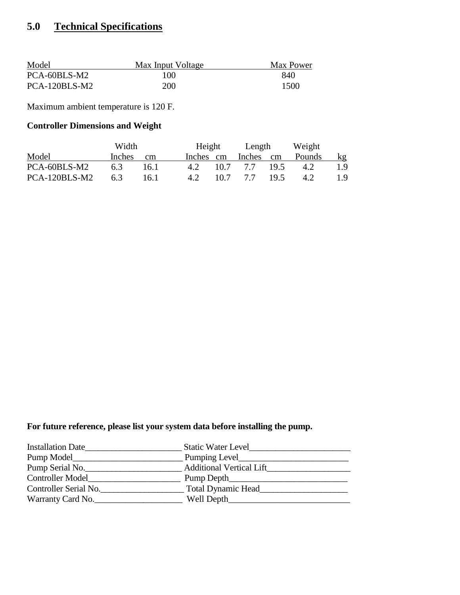# **5.0 Technical Specifications**

| Model         | Max Input Voltage | Max Power |
|---------------|-------------------|-----------|
| PCA-60BLS-M2  | 100               | 840       |
| PCA-120BLS-M2 | <b>200</b>        | 1500      |

Maximum ambient temperature is 120 F.

## **Controller Dimensions and Weight**

|               | Width         |      |     | Height    | Length            | Weight |     |
|---------------|---------------|------|-----|-----------|-------------------|--------|-----|
| Model         | <i>Inches</i> | cm   |     | Inches cm | Inches cm         | Pounds | kg  |
| PCA-60BLS-M2  | 6.3           | 16.1 |     |           | 4.2 10.7 7.7 19.5 | $-4.2$ | 19. |
| PCA-120BLS-M2 | 6.3           | 16.1 | 4.2 |           | 10.7 7.7 19.5     | 4.2    | 19. |

## **For future reference, please list your system data before installing the pump.**

| <b>Installation Date</b> | <b>Static Water Level</b>       |
|--------------------------|---------------------------------|
| Pump Model_              | Pumping Level                   |
| Pump Serial No.          | <b>Additional Vertical Lift</b> |
| <b>Controller Model</b>  | Pump Depth_                     |
| Controller Serial No.    | <b>Total Dynamic Head</b>       |
| Warranty Card No.        | Well Depth                      |